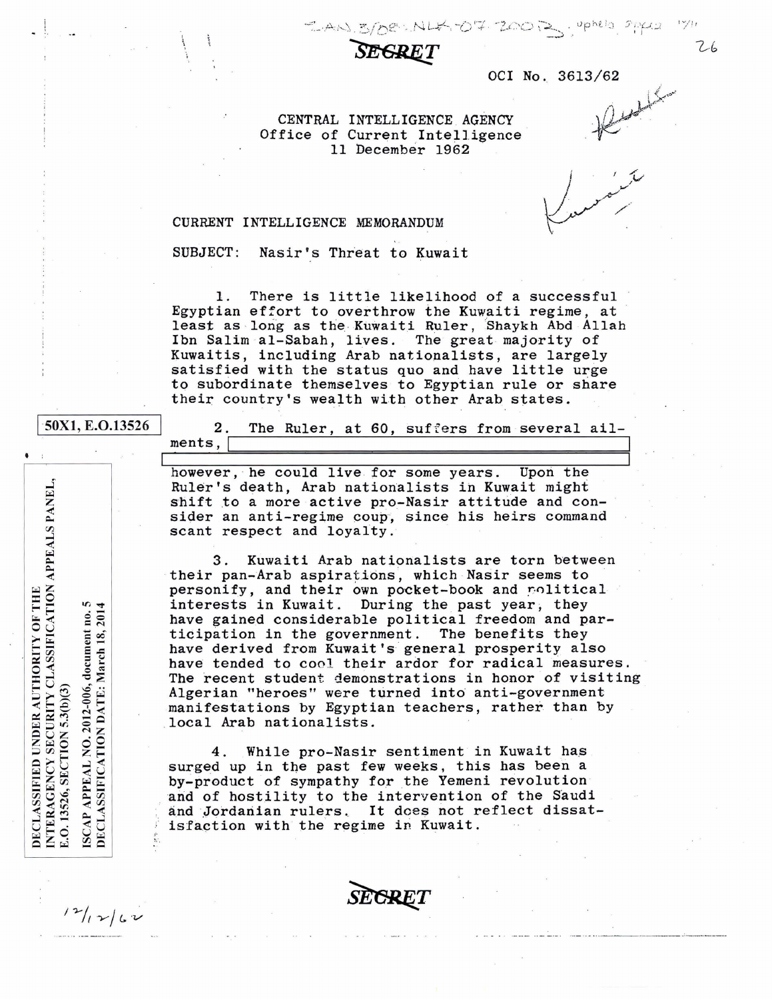DE : NLK -07-20012 , uphela sheka

OCI No. 3613/62

CENTRAL INTELLIGENCE AGENCY Office of Current Intelligence 11 December 1962

CURRENT INTELLIGENCE MEMORANDUM

SUBJECT: Nasir's Threat to Kuwait

1. There is little likelihood of a successful Egyptian effort to overthrow the Kuwaiti regime, at least as long as the Kuwaiti Ruler, Shaykh Abd Allah Ibn Salim al-Sabah, lives. The great majority of Kuwaitis, including Arab nationalists, are largely satisfied with the status quo and have little urge to subordinate themselves to Egyptian rule or share their country's wealth with other Arab states.

18,

 $12/12/62$ 

j sOXl, E.0.13526 2. The Ruler, at 60, suffers from several ail-2. The Ruler, at 60, suffers from several all-<br>ments,

> however, he could live for some years. Upon the Ruler's death, Arab nationalists ih Kuwait might shift to a more active pro-Nasir attitude and consider an anti-regime coup, since his heirs command scant respect and loyalty.

3. Kuwaiti Arab nationalists are torn between their pan-Arab aspirations, which Nasir seems to personify, and their own pocket-book and rolitical interests in Kuwait. During the past year, they have gained considerable political freedom and participation in the government. The benefits they have derived from Kuwait's general prosperity also have tended to cool their ardor for radical measures. The recent student demonstrations in honor of visiting Algerian "heroes" were turned into anti-government manifestations by Egyptian teachers, rather than by local Arab nationalists.

4. While pro-Nasir sentiment in Kuwait has surged up in the past few weeks, this has been a by-product of sympathy for the Yemeni revolution and of hostility to the intervention of the Saudi and Jordanian rulers. It does not reflect dissat isfaction with the regime in Kuwait.



NTERAGENCY SECURITY CLASSIFICATION APPEALS PANEL, DECLASSIFIED UNDER AUTHORITY OF THE  $\frac{6}{4}$ no.<br>201 2012-006, document ISCAP APPEAL NO. 2012-006, docum<br>DECLASSIFICATION DATE: March 7.0.13526, SECTION 5.3(b)(3)